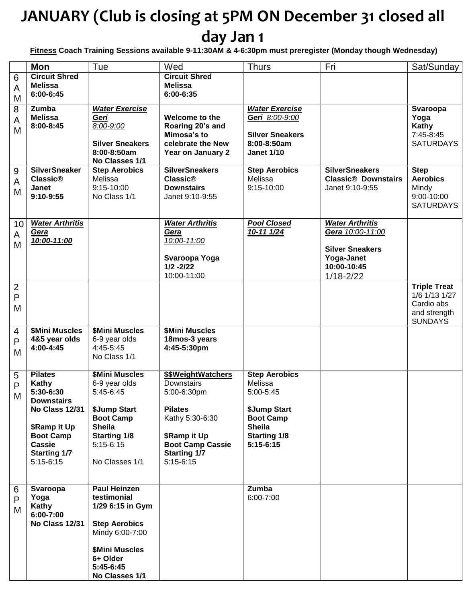# **JANUARY (Club is closing at 5PM ON December 31 closed all day Jan 1**

**Fitness Coach Training Sessions available 9-11:30AM & 4-6:30pm must preregister (Monday though Wednesday)**

|                                     | <b>Mon</b>                                                                                                                                                      | Tue                                                                                                                                                                   | Wed                                                                                                                                                                   | <b>Thurs</b>                                                                                                                            | Fri                                                                                                                | Sat/Sunday                                                                           |
|-------------------------------------|-----------------------------------------------------------------------------------------------------------------------------------------------------------------|-----------------------------------------------------------------------------------------------------------------------------------------------------------------------|-----------------------------------------------------------------------------------------------------------------------------------------------------------------------|-----------------------------------------------------------------------------------------------------------------------------------------|--------------------------------------------------------------------------------------------------------------------|--------------------------------------------------------------------------------------|
| $6\,$<br>A<br>M                     | <b>Circuit Shred</b><br><b>Melissa</b><br>6:00-6:45                                                                                                             |                                                                                                                                                                       | <b>Circuit Shred</b><br><b>Melissa</b><br>6:00-6:35                                                                                                                   |                                                                                                                                         |                                                                                                                    |                                                                                      |
| 8<br>A<br>M                         | Zumba<br><b>Melissa</b><br>8:00-8:45                                                                                                                            | <b>Water Exercise</b><br>Geri<br>8:00-9:00<br><b>Silver Sneakers</b><br>8:00-8:50am<br>No Classes 1/1                                                                 | Welcome to the<br>Roaring 20's and<br>Mimosa's to<br>celebrate the New<br>Year on January 2                                                                           | <b>Water Exercise</b><br>Geri 8:00-9:00<br><b>Silver Sneakers</b><br>8:00-8:50am<br><b>Janet 1/10</b>                                   |                                                                                                                    | Svaroopa<br>Yoga<br>Kathy<br>7:45-8:45<br><b>SATURDAYS</b>                           |
| 9<br>A<br>M                         | <b>SilverSneaker</b><br><b>Classic®</b><br>Janet<br>9:10-9:55                                                                                                   | <b>Step Aerobics</b><br>Melissa<br>9:15-10:00<br>No Class 1/1                                                                                                         | <b>SilverSneakers</b><br><b>Classic®</b><br><b>Downstairs</b><br>Janet 9:10-9:55                                                                                      | <b>Step Aerobics</b><br>Melissa<br>9:15-10:00                                                                                           | <b>SilverSneakers</b><br><b>Classic<sup>®</sup></b> Downstairs<br>Janet 9:10-9:55                                  | <b>Step</b><br><b>Aerobics</b><br>Mindy<br>9:00-10:00<br><b>SATURDAYS</b>            |
| 10<br>A<br>M                        | <b>Water Arthritis</b><br>Gera<br>10:00-11:00                                                                                                                   |                                                                                                                                                                       | <b>Water Arthritis</b><br>Gera<br>10:00-11:00<br>Svaroopa Yoga<br>$1/2 - 2/22$<br>10:00-11:00                                                                         | <b>Pool Closed</b><br>10-11 1/24                                                                                                        | <b>Water Arthritis</b><br>Gera 10:00-11:00<br><b>Silver Sneakers</b><br>Yoga-Janet<br>10:00-10:45<br>$1/18 - 2/22$ |                                                                                      |
| $\overline{2}$<br>$\mathsf{P}$<br>M |                                                                                                                                                                 |                                                                                                                                                                       |                                                                                                                                                                       |                                                                                                                                         |                                                                                                                    | <b>Triple Treat</b><br>1/6 1/13 1/27<br>Cardio abs<br>and strength<br><b>SUNDAYS</b> |
| 4<br>$\mathsf{P}$<br>M              | <b>\$Mini Muscles</b><br>4&5 year olds<br>4:00-4:45                                                                                                             | <b>\$Mini Muscles</b><br>6-9 year olds<br>4:45-5:45<br>No Class 1/1                                                                                                   | <b>\$Mini Muscles</b><br>18mos-3 years<br>4:45-5:30pm                                                                                                                 |                                                                                                                                         |                                                                                                                    |                                                                                      |
| 5<br>$\mathsf{P}$<br>M              | <b>Pilates</b><br>Kathy<br>5:30-6:30<br><b>Downstairs</b><br>No Class 12/31<br>\$Ramp it Up<br><b>Boot Camp</b><br>Cassie<br><b>Starting 1/7</b><br>$5:15-6:15$ | <b>\$Mini Muscles</b><br>6-9 year olds<br>5:45-6:45<br>\$Jump Start<br><b>Boot Camp</b><br><b>Sheila</b><br><b>Starting 1/8</b><br>$5:15-6:15$<br>No Classes 1/1      | \$\$WeightWatchers<br>Downstairs<br>5:00-6:30pm<br><b>Pilates</b><br>Kathy 5:30-6:30<br>\$Ramp it Up<br><b>Boot Camp Cassie</b><br><b>Starting 1/7</b><br>$5:15-6:15$ | <b>Step Aerobics</b><br>Melissa<br>5:00-5:45<br>\$Jump Start<br><b>Boot Camp</b><br><b>Sheila</b><br><b>Starting 1/8</b><br>$5:15-6:15$ |                                                                                                                    |                                                                                      |
| 6<br>P<br>Μ                         | Svaroopa<br>Yoga<br>Kathy<br>6:00-7:00<br><b>No Class 12/31</b>                                                                                                 | <b>Paul Heinzen</b><br>testimonial<br>1/29 6:15 in Gym<br><b>Step Aerobics</b><br>Mindy 6:00-7:00<br><b>\$Mini Muscles</b><br>6+ Older<br>5:45-6:45<br>No Classes 1/1 |                                                                                                                                                                       | Zumba<br>6:00-7:00                                                                                                                      |                                                                                                                    |                                                                                      |